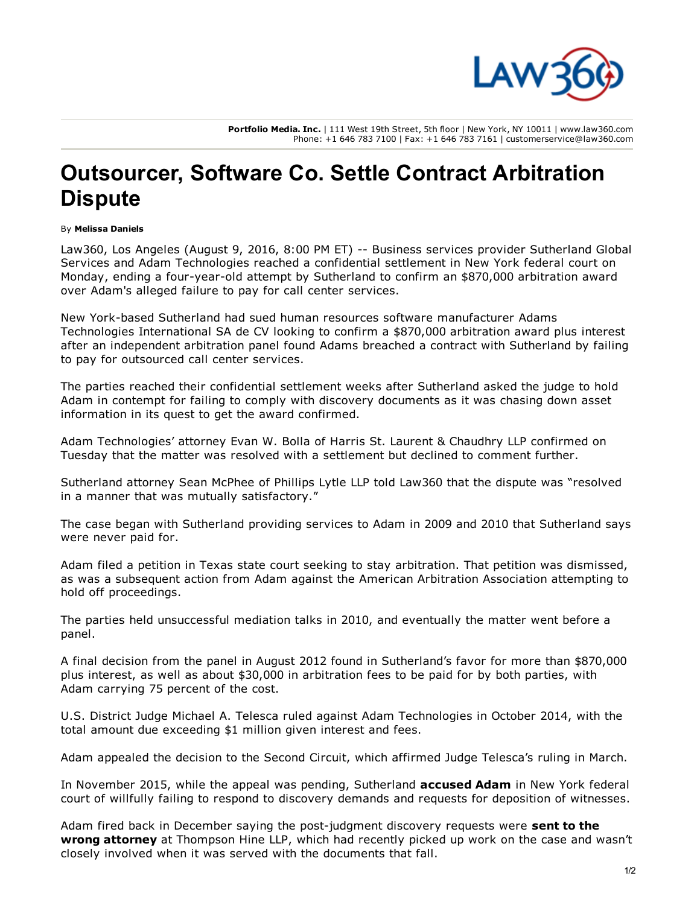

Portfolio Media. Inc. | 111 West 19th Street, 5th floor | New York, NY 10011 | www.law360.com Phone: +1 646 783 7100 | Fax: +1 646 783 7161 | customerservice@law360.com

## Outsourcer, Software Co. Settle Contract Arbitration **Dispute**

## By Melissa Daniels

Law360, Los Angeles (August 9, 2016, 8:00 PM ET) -- Business services provider Sutherland Global Servi[ces and Adam Technologies reached a confidential settlement in New York federal court on](http://www.law360.com/company/sutherland-global-services-inc) Monday, ending a four-year-old attempt by Sutherland to confirm an \$870,000 arbitration award over Adam's alleged failure to pay for call center services.

New York-based Sutherland had sued human resources software manufacturer Adams Technologies International SA de CV looking to confirm a \$870,000 arbitration award plus interest after an independent arbitration panel found Adams breached a contract with Sutherland by failing to pay for outsourced call center services.

The parties reached their confidential settlement weeks after Sutherland asked the judge to hold Adam in contempt for failing to comply with discovery documents as it was chasing down asset information in its quest to get the award confirmed.

Adam Technologies' attorney Evan W. Bolla of Harris St. Laurent & Chaudhry LLP confirmed on Tuesday that the matter was resolved with a settle[ment but declined to comment furth](http://www.law360.com/firm/harris-st-laurent)er.

Sutherland attorney Sean McPhee of Phillip[s Lytle LLP told L](http://www.law360.com/firm/phillips-lytle)aw360 that the dispute was "resolved in a manner that was mutually satisfactory."

The case began with Sutherland providing services to Adam in 2009 and 2010 that Sutherland says were never paid for.

Adam filed a petition in Texas state court seeking to stay arbitration. That petition was dismissed, as was a subsequent action from Adam against the Ameri[can Arbitration Association attem](http://www.law360.com/company/american-arbitration-association)pting to hold off proceedings.

The parties held unsuccessful mediation talks in 2010, and eventually the matter went before a panel.

A final decision from the panel in August 2012 found in Sutherland's favor for more than \$870,000 plus interest, as well as about \$30,000 in arbitration fees to be paid for by both parties, with Adam carrying 75 percent of the cost.

U.S. District Judge Michael A. Telesca ruled against Adam Technologies in October 2014, with the total amount due exceeding \$1 million given interest and fees.

Adam appealed the decision to the Second Circuit, which affirmed Judge Telesca's ruling in March.

In November 2015, while the appeal was pending, Sutherland **accused Adam** in New York federal court of willfully failing to respond to discovery demands and reque[sts for deposition](https://www.law360.com/articles/731615) of witnesses.

Adam fired back in December saying the post-judgment discovery requests were sent to the wron[g attorney at Thompson Hine LLP, which had recently picked up work on the case and wasn't](https://www.law360.com/articles/736388) closely involved when it [was served with the](http://www.law360.com/firm/thompson-hine) documents that fall.